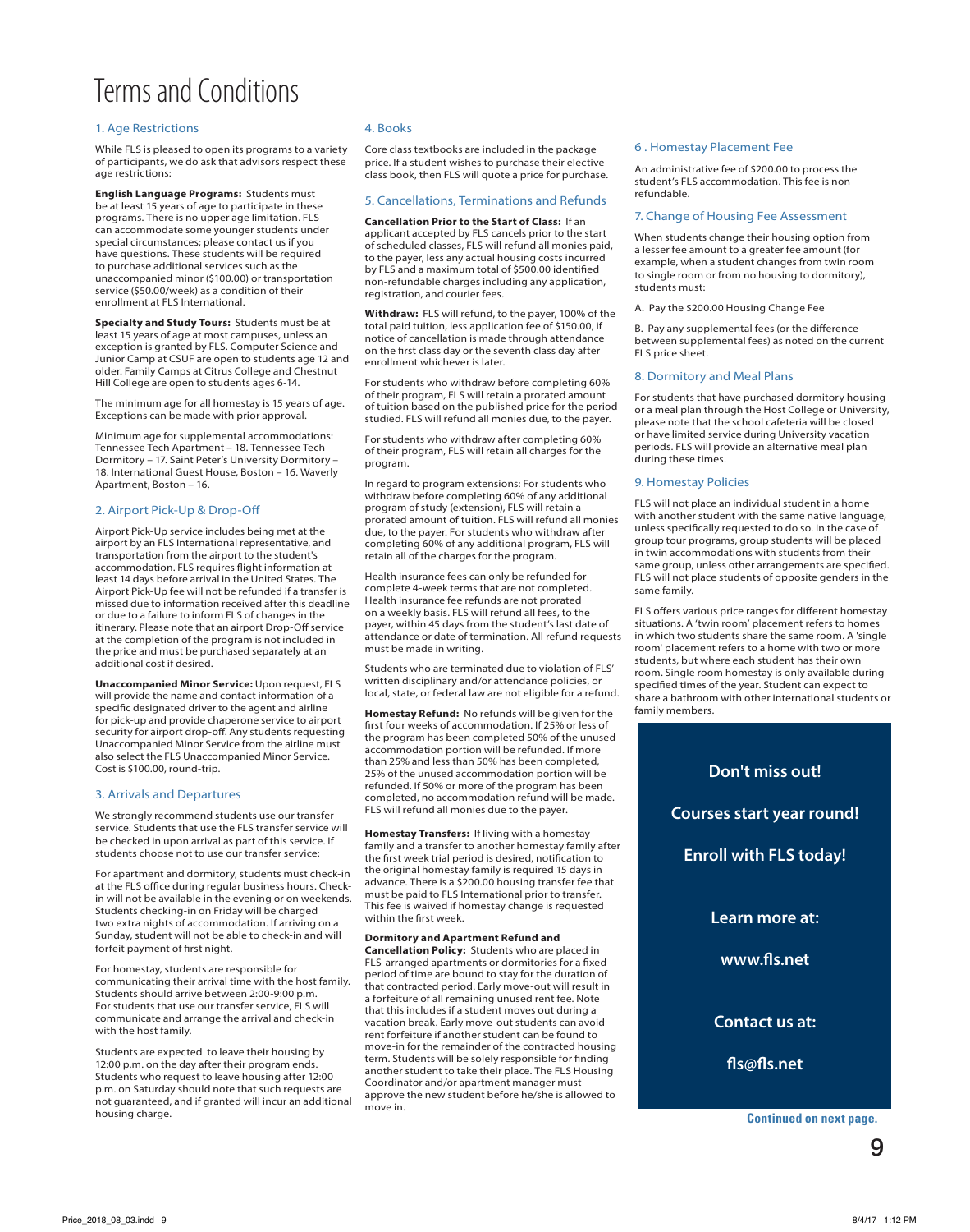# Terms and Conditions

# 1. Age Restrictions

While FLS is pleased to open its programs to a variety of participants, we do ask that advisors respect these age restrictions:

**English Language Programs:** Students must be at least 15 years of age to participate in these programs. There is no upper age limitation. FLS can accommodate some younger students under special circumstances; please contact us if you have questions. These students will be required to purchase additional services such as the unaccompanied minor (\$100.00) or transportation service (\$50.00/week) as a condition of their enrollment at FLS International.

**Specialty and Study Tours:** Students must be at least 15 years of age at most campuses, unless an exception is granted by FLS. Computer Science and Junior Camp at CSUF are open to students age 12 and older. Family Camps at Citrus College and Chestnut Hill College are open to students ages 6-14.

The minimum age for all homestay is 15 years of age. Exceptions can be made with prior approval.

Minimum age for supplemental accommodations: Tennessee Tech Apartment – 18. Tennessee Tech Dormitory – 17. Saint Peter's University Dormitory – 18. International Guest House, Boston – 16. Waverly Apartment, Boston – 16.

#### 2. Airport Pick-Up & Drop-Off

Airport Pick-Up service includes being met at the airport by an FLS International representative, and transportation from the airport to the student's accommodation. FLS requires flight information at least 14 days before arrival in the United States. The Airport Pick-Up fee will not be refunded if a transfer is missed due to information received after this deadline or due to a failure to inform FLS of changes in the itinerary. Please note that an airport Drop-Off service at the completion of the program is not included in the price and must be purchased separately at an additional cost if desired.

**Unaccompanied Minor Service:** Upon request, FLS will provide the name and contact information of a specific designated driver to the agent and airline for pick-up and provide chaperone service to airport security for airport drop-off. Any students requesting Unaccompanied Minor Service from the airline must also select the FLS Unaccompanied Minor Service. Cost is \$100.00, round-trip.

#### 3. Arrivals and Departures

We strongly recommend students use our transfer service. Students that use the FLS transfer service will be checked in upon arrival as part of this service. If students choose not to use our transfer service

For apartment and dormitory, students must check-in at the FLS office during regular business hours. Checkin will not be available in the evening or on weekends. Students checking-in on Friday will be charged two extra nights of accommodation. If arriving on a Sunday, student will not be able to check-in and will forfeit payment of first night.

For homestay, students are responsible for communicating their arrival time with the host family. Students should arrive between 2:00-9:00 p.m. For students that use our transfer service, FLS will communicate and arrange the arrival and check-in with the host family.

Students are expected to leave their housing by 12:00 p.m. on the day after their program ends. Students who request to leave housing after 12:00 p.m. on Saturday should note that such requests are not guaranteed, and if granted will incur an additional housing charge.

#### 4. Books

Core class textbooks are included in the package price. If a student wishes to purchase their elective class book, then FLS will quote a price for purchase.

## 5. Cancellations, Terminations and Refunds

**Cancellation Prior to the Start of Class:** If an applicant accepted by FLS cancels prior to the start of scheduled classes, FLS will refund all monies paid, to the payer, less any actual housing costs incurred by FLS and a maximum total of \$500.00 identified non-refundable charges including any application, registration, and courier fees.

**Withdraw:** FLS will refund, to the payer, 100% of the total paid tuition, less application fee of \$150.00, if notice of cancellation is made through attendance on the first class day or the seventh class day after enrollment whichever is later.

For students who withdraw before completing 60% of their program, FLS will retain a prorated amount of tuition based on the published price for the period studied. FLS will refund all monies due, to the payer.

For students who withdraw after completing 60% of their program, FLS will retain all charges for the program.

In regard to program extensions: For students who withdraw before completing 60% of any additional program of study (extension), FLS will retain a prorated amount of tuition. FLS will refund all monies due, to the payer. For students who withdraw after completing 60% of any additional program, FLS will retain all of the charges for the program.

Health insurance fees can only be refunded for complete 4-week terms that are not completed. Health insurance fee refunds are not prorated on a weekly basis. FLS will refund all fees, to the payer, within 45 days from the student's last date of attendance or date of termination. All refund requests must be made in writing.

Students who are terminated due to violation of FLS' written disciplinary and/or attendance policies, or local, state, or federal law are not eligible for a refund.

**Homestay Refund:** No refunds will be given for the first four weeks of accommodation. If 25% or less of the program has been completed 50% of the unused accommodation portion will be refunded. If more than 25% and less than 50% has been completed, 25% of the unused accommodation portion will be refunded. If 50% or more of the program has been completed, no accommodation refund will be made. FLS will refund all monies due to the payer.

**Homestay Transfers:** If living with a homestay family and a transfer to another homestay family after the first week trial period is desired, notification to the original homestay family is required 15 days in advance. There is a \$200.00 housing transfer fee that must be paid to FLS International prior to transfer. This fee is waived if homestay change is requested within the first week.

## **Dormitory and Apartment Refund and**

**Cancellation Policy:** Students who are placed in FLS-arranged apartments or dormitories for a fixed period of time are bound to stay for the duration of that contracted period. Early move-out will result in a forfeiture of all remaining unused rent fee. Note that this includes if a student moves out during a vacation break. Early move-out students can avoid rent forfeiture if another student can be found to move-in for the remainder of the contracted housing term. Students will be solely responsible for finding another student to take their place. The FLS Housing Coordinator and/or apartment manager must approve the new student before he/she is allowed to move in.

#### 6 . Homestay Placement Fee

An administrative fee of \$200.00 to process the student's FLS accommodation. This fee is nonrefundable.

## 7. Change of Housing Fee Assessment

When students change their housing option from a lesser fee amount to a greater fee amount (for example, when a student changes from twin room to single room or from no housing to dormitory), students must:

A. Pay the \$200.00 Housing Change Fee

B. Pay any supplemental fees (or the difference between supplemental fees) as noted on the current FLS price sheet.

#### 8. Dormitory and Meal Plans

For students that have purchased dormitory housing or a meal plan through the Host College or University, please note that the school cafeteria will be closed or have limited service during University vacation periods. FLS will provide an alternative meal plan during these times.

#### 9. Homestay Policies

FLS will not place an individual student in a home with another student with the same native language, unless specifically requested to do so. In the case of group tour programs, group students will be placed in twin accommodations with students from their same group, unless other arrangements are specified. FLS will not place students of opposite genders in the same family.

FLS offers various price ranges for different homestay situations. A 'twin room' placement refers to homes in which two students share the same room. A 'single room' placement refers to a home with two or more students, but where each student has their own room. Single room homestay is only available during specified times of the year. Student can expect to share a bathroom with other international students or family members.